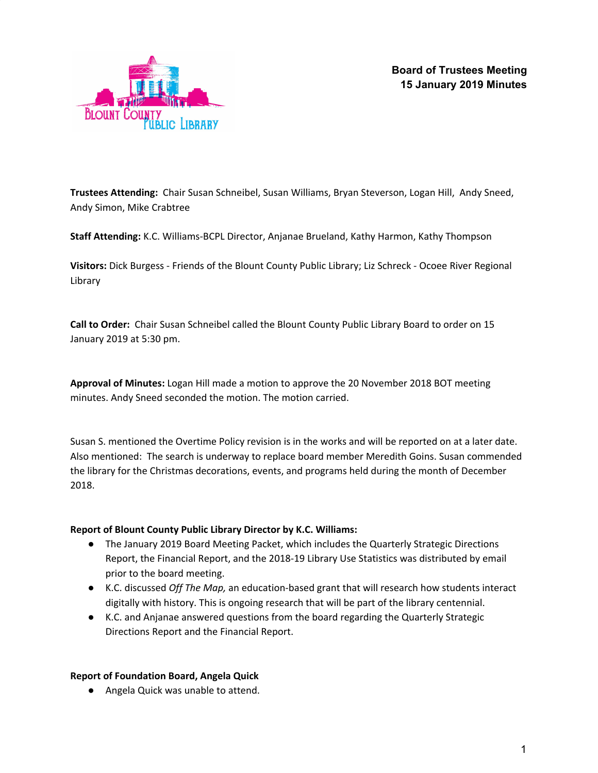



**Trustees Attending:** Chair Susan Schneibel, Susan Williams, Bryan Steverson, Logan Hill, Andy Sneed, Andy Simon, Mike Crabtree

**Staff Attending:** K.C. Williams-BCPL Director, Anjanae Brueland, Kathy Harmon, Kathy Thompson

**Visitors:** Dick Burgess - Friends of the Blount County Public Library; Liz Schreck - Ocoee River Regional Library

**Call to Order:** Chair Susan Schneibel called the Blount County Public Library Board to order on 15 January 2019 at 5:30 pm.

**Approval of Minutes:** Logan Hill made a motion to approve the 20 November 2018 BOT meeting minutes. Andy Sneed seconded the motion. The motion carried.

Susan S. mentioned the Overtime Policy revision is in the works and will be reported on at a later date. Also mentioned: The search is underway to replace board member Meredith Goins. Susan commended the library for the Christmas decorations, events, and programs held during the month of December 2018.

## **Report of Blount County Public Library Director by K.C. Williams:**

- The January 2019 Board Meeting Packet, which includes the Quarterly Strategic Directions Report, the Financial Report, and the 2018-19 Library Use Statistics was distributed by email prior to the board meeting.
- K.C. discussed *Off The Map,* an education-based grant that will research how students interact digitally with history. This is ongoing research that will be part of the library centennial.
- K.C. and Anjanae answered questions from the board regarding the Quarterly Strategic Directions Report and the Financial Report.

#### **Report of Foundation Board, Angela Quick**

● Angela Quick was unable to attend.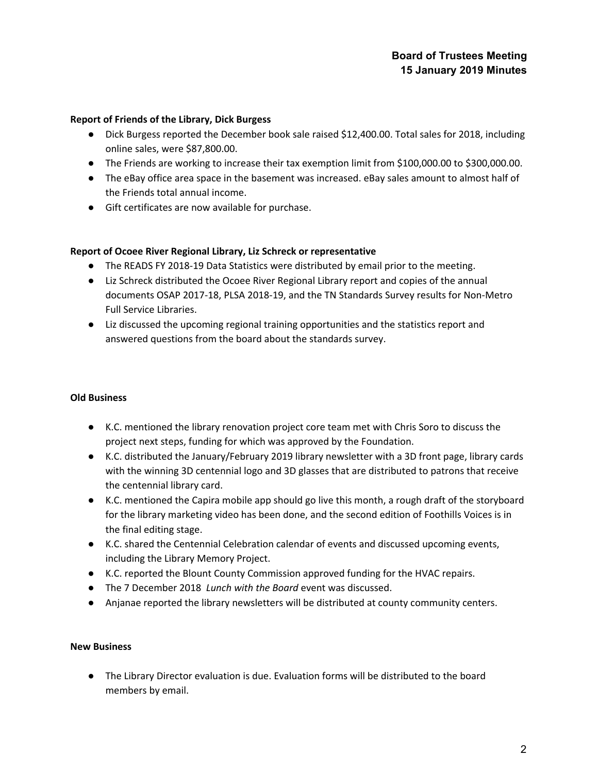# **Board of Trustees Meeting 15 January 2019 Minutes**

#### **Report of Friends of the Library, Dick Burgess**

- Dick Burgess reported the December book sale raised \$12,400.00. Total sales for 2018, including online sales, were \$87,800.00.
- The Friends are working to increase their tax exemption limit from \$100,000.00 to \$300,000.00.
- The eBay office area space in the basement was increased. eBay sales amount to almost half of the Friends total annual income.
- Gift certificates are now available for purchase.

### **Report of Ocoee River Regional Library, Liz Schreck or representative**

- The READS FY 2018-19 Data Statistics were distributed by email prior to the meeting.
- Liz Schreck distributed the Ocoee River Regional Library report and copies of the annual documents OSAP 2017-18, PLSA 2018-19, and the TN Standards Survey results for Non-Metro Full Service Libraries.
- Liz discussed the upcoming regional training opportunities and the statistics report and answered questions from the board about the standards survey.

#### **Old Business**

- K.C. mentioned the library renovation project core team met with Chris Soro to discuss the project next steps, funding for which was approved by the Foundation.
- K.C. distributed the January/February 2019 library newsletter with a 3D front page, library cards with the winning 3D centennial logo and 3D glasses that are distributed to patrons that receive the centennial library card.
- K.C. mentioned the Capira mobile app should go live this month, a rough draft of the storyboard for the library marketing video has been done, and the second edition of Foothills Voices is in the final editing stage.
- K.C. shared the Centennial Celebration calendar of events and discussed upcoming events, including the Library Memory Project.
- K.C. reported the Blount County Commission approved funding for the HVAC repairs.
- The 7 December 2018 *Lunch with the Board* event was discussed.
- Anjanae reported the library newsletters will be distributed at county community centers.

#### **New Business**

● The Library Director evaluation is due. Evaluation forms will be distributed to the board members by email.